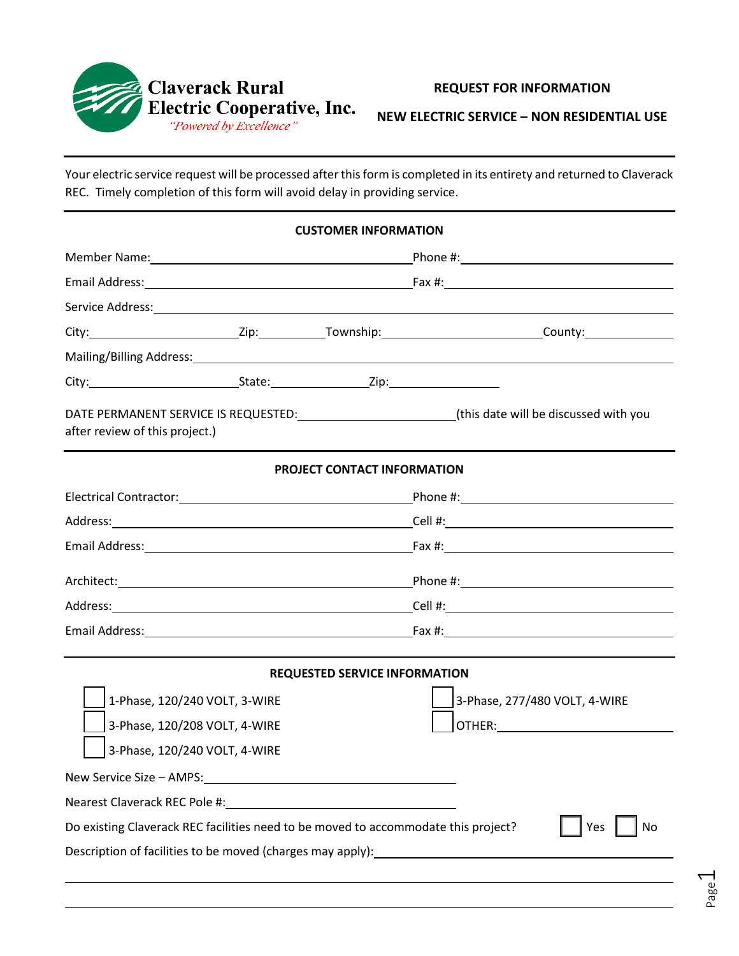

## **REQUEST FOR INFORMATION**

**NEW ELECTRIC SERVICE – NON RESIDENTIAL USE**

Your electric service request will be processed after this form is completed in its entirety and returned to Claverack REC. Timely completion of this form will avoid delay in providing service.

| <b>CUSTOMER INFORMATION</b>                                                                                                                                                                                                   |  |                                      |                                                                                  |           |  |  |  |  |
|-------------------------------------------------------------------------------------------------------------------------------------------------------------------------------------------------------------------------------|--|--------------------------------------|----------------------------------------------------------------------------------|-----------|--|--|--|--|
|                                                                                                                                                                                                                               |  |                                      |                                                                                  |           |  |  |  |  |
|                                                                                                                                                                                                                               |  |                                      |                                                                                  |           |  |  |  |  |
| Service Address: 1988 and 2008 and 2008 and 2008 and 2008 and 2008 and 2008 and 2008 and 2008 and 2008 and 200                                                                                                                |  |                                      |                                                                                  |           |  |  |  |  |
|                                                                                                                                                                                                                               |  |                                      |                                                                                  |           |  |  |  |  |
|                                                                                                                                                                                                                               |  |                                      |                                                                                  |           |  |  |  |  |
| City: City: City: City: City: City: City: City: City: City: City: City: City: City: City: City: City: City: City: City: City: City: City: City: City: City: City: City: City: City: City: City: City: City: City: City: City: |  |                                      |                                                                                  |           |  |  |  |  |
| DATE PERMANENT SERVICE IS REQUESTED: [13] [14] [15] (this date will be discussed with you<br>after review of this project.)                                                                                                   |  |                                      |                                                                                  |           |  |  |  |  |
|                                                                                                                                                                                                                               |  | <b>PROJECT CONTACT INFORMATION</b>   |                                                                                  |           |  |  |  |  |
|                                                                                                                                                                                                                               |  |                                      |                                                                                  |           |  |  |  |  |
|                                                                                                                                                                                                                               |  |                                      |                                                                                  |           |  |  |  |  |
|                                                                                                                                                                                                                               |  |                                      |                                                                                  |           |  |  |  |  |
|                                                                                                                                                                                                                               |  |                                      |                                                                                  |           |  |  |  |  |
|                                                                                                                                                                                                                               |  |                                      |                                                                                  |           |  |  |  |  |
|                                                                                                                                                                                                                               |  |                                      |                                                                                  |           |  |  |  |  |
|                                                                                                                                                                                                                               |  | <b>REQUESTED SERVICE INFORMATION</b> |                                                                                  |           |  |  |  |  |
| 1-Phase, 120/240 VOLT, 3-WIRE                                                                                                                                                                                                 |  |                                      | 3-Phase, 277/480 VOLT, 4-WIRE                                                    |           |  |  |  |  |
| 3-Phase, 120/208 VOLT, 4-WIRE                                                                                                                                                                                                 |  |                                      |                                                                                  |           |  |  |  |  |
| 3-Phase, 120/240 VOLT, 4-WIRE                                                                                                                                                                                                 |  |                                      |                                                                                  |           |  |  |  |  |
|                                                                                                                                                                                                                               |  |                                      |                                                                                  |           |  |  |  |  |
|                                                                                                                                                                                                                               |  |                                      |                                                                                  |           |  |  |  |  |
| Do existing Claverack REC facilities need to be moved to accommodate this project?                                                                                                                                            |  |                                      |                                                                                  | Yes<br>No |  |  |  |  |
|                                                                                                                                                                                                                               |  |                                      | Description of facilities to be moved (charges may apply): _____________________ |           |  |  |  |  |
|                                                                                                                                                                                                                               |  |                                      |                                                                                  |           |  |  |  |  |